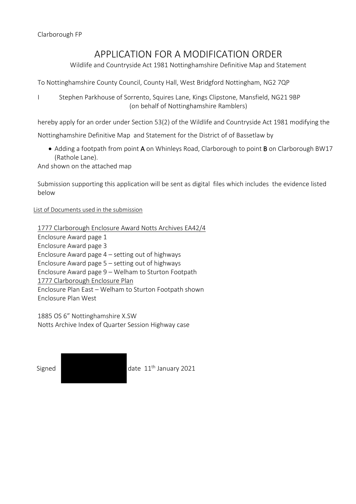## APPLICATION FOR A MODIFICATION ORDER

Wildlife and Countryside Act 1981 Nottinghamshire Definitive Map and Statement

To Nottinghamshire County Council, County Hall, West Bridgford Nottingham, NG2 7QP

I Stephen Parkhouse of Sorrento, Squires Lane, Kings Clipstone, Mansfield, NG21 9BP (on behalf of Nottinghamshire Ramblers)

hereby apply for an order under Section 53(2) of the Wildlife and Countryside Act 1981 modifying the

Nottinghamshire Definitive Map and Statement for the District of of Bassetlaw by

• Adding a footpath from point A on Whinleys Road, Clarborough to point **B** on Clarborough BW17 (Rathole Lane).

And shown on the attached map

Submission supporting this application will be sent as digital files which includes the evidence listed below

## List of Documents used in the submission

1777 Clarborough Enclosure Award Notts Archives EA42/4

Enclosure Award page 1 Enclosure Award page 3 Enclosure Award page 4 – setting out of highways Enclosure Award page 5 – setting out of highways Enclosure Award page 9 – Welham to Sturton Footpath 1777 Clarborough Enclosure Plan Enclosure Plan East – Welham to Sturton Footpath shown Enclosure Plan West

1885 OS 6" Nottinghamshire X.SW Notts Archive Index of Quarter Session Highway case

Signed **date 11<sup>th</sup> January 2021**